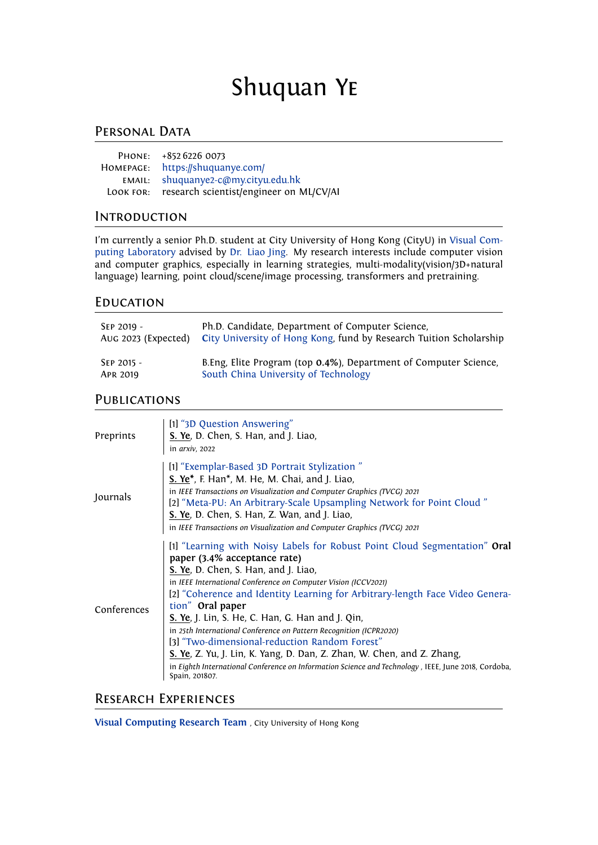# Shuquan Ye

# PERSONAL DATA

|           | PHONE: +852 6226 0073                   |
|-----------|-----------------------------------------|
| HOMEPAGE: | https://shuquanye.com/                  |
| EMAIL:    | shuquanye2-c@my.cityu.edu.hk            |
| LOOK FOR: | research scientist/engineer on ML/CV/AI |

# **INTRODUCTION**

I'm currently a senior Ph.D. student at City University of Hong Kong (CityU) in [Visual Com](https://liaojing.github.io/html/)[puting Laboratory](https://liaojing.github.io/html/) advised by [Dr. Liao Jing.](https://liaojing.github.io/html/index.html) My research interests include computer vision and computer graphics, especially in learning strategies, multi-modality(vision/3D+natural language) learning, point cloud/scene/image processing, transformers and pretraining.

# **EDUCATION**

| SEP 2019 -          | Ph.D. Candidate, Department of Computer Science,                   |
|---------------------|--------------------------------------------------------------------|
| Aug 2023 (Expected) | City University of Hong Kong, fund by Research Tuition Scholarship |
| SEP 2015 -          | B.Eng, Elite Program (top 0.4%), Department of Computer Science,   |
| APR 2019            | South China University of Technology                               |

# **PUBLICATIONS**

| Preprints   | [1] "3D Question Answering"<br>S. Ye, D. Chen, S. Han, and J. Liao,<br>in arxiv, 2022                                                                                                                                                                                                                                                                                                                                                                                                                                                                                                                                                                                                                          |
|-------------|----------------------------------------------------------------------------------------------------------------------------------------------------------------------------------------------------------------------------------------------------------------------------------------------------------------------------------------------------------------------------------------------------------------------------------------------------------------------------------------------------------------------------------------------------------------------------------------------------------------------------------------------------------------------------------------------------------------|
| Journals    | [1] "Exemplar-Based 3D Portrait Stylization"<br>S. Ye*, F. Han*, M. He, M. Chai, and J. Liao,<br>in IEEE Transactions on Visualization and Computer Graphics (TVCG) 2021<br>[2] "Meta-PU: An Arbitrary-Scale Upsampling Network for Point Cloud"<br>S. Ye, D. Chen, S. Han, Z. Wan, and J. Liao,<br>in IEEE Transactions on Visualization and Computer Graphics (TVCG) 2021                                                                                                                                                                                                                                                                                                                                    |
| Conferences | [1] "Learning with Noisy Labels for Robust Point Cloud Segmentation" Oral<br>paper (3.4% acceptance rate)<br>S. Ye, D. Chen, S. Han, and J. Liao,<br>in IEEE International Conference on Computer Vision (ICCV2021)<br>[2] "Coherence and Identity Learning for Arbitrary-length Face Video Genera-<br>tion" Oral paper<br><b>S. Ye</b> , J. Lin, S. He, C. Han, G. Han and J. Qin,<br>in 25th International Conference on Pattern Recognition (ICPR2020)<br>[3] "Two-dimensional-reduction Random Forest"<br>S. Ye, Z. Yu, J. Lin, K. Yang, D. Dan, Z. Zhan, W. Chen, and Z. Zhang,<br>in Eighth International Conference on Information Science and Technology , IEEE, June 2018, Cordoba,<br>Spain, 201807. |

# Research Experiences

**[Visual Computing Research Team](https://liaojing.github.io/html/)** , City University of Hong Kong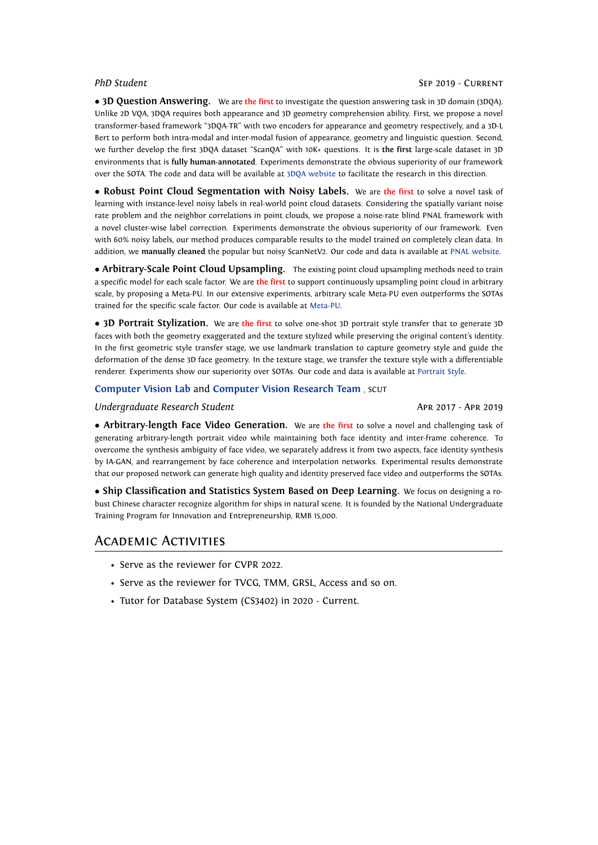*•* **3D Question Answering.** We are **the first** to investigate the question answering task in 3D domain (3DQA). Unlike 2D VQA, 3DQA requires both appearance and 3D geometry comprehension ability. First, we propose a novel transformer-based framework "3DQA-TR" with two encoders for appearance and geometry respectively, and a 3D-L Bert to perform both intra-modal and inter-modal fusion of appearance, geometry and linguistic question. Second, we further develop the first 3DQA dataset "ScanQA" with 10K+ questions. It is **the first** large-scale dataset in 3D environments that is **fully human-annotated**. Experiments demonstrate the obvious superiority of our framework over the SOTA. The code and data will be available at [3DQA website](http://shuquanye.com/3DQA website/) to facilitate the research in this direction.

*•* **Robust Point Cloud Segmentation with Noisy Labels.** We are **the first** to solve a novel task of learning with instance-level noisy labels in real-world point cloud datasets. Considering the spatially variant noise rate problem and the neighbor correlations in point clouds, we propose a noise-rate blind PNAL framework with a novel cluster-wise label correction. Experiments demonstrate the obvious superiority of our framework. Even with 60% noisy labels, our method produces comparable results to the model trained on completely clean data. In addition, we **manually cleaned** the popular but noisy ScanNetV2. Our code and data is available at [PNAL website](https://shuquanye.com/PNAL_website/).

*•* **Arbitrary-Scale Point Cloud Upsampling.** The existing point cloud upsampling methods need to train a specific model for each scale factor. We are **the first** to support continuously upsampling point cloud in arbitrary scale, by proposing a Meta-PU. In our extensive experiments, arbitrary scale Meta-PU even outperforms the SOTAs trained for the specific scale factor. Our code is available at [Meta-PU.](https://github.com/pleaseconnectwifi/Meta-PU)

*•* **3D Portrait Stylization.** We are **the first** to solve one-shot 3D portrait style transfer that to generate 3D faces with both the geometry exaggerated and the texture stylized while preserving the original content's identity. In the first geometric style transfer stage, we use landmark translation to capture geometry style and guide the deformation of the dense 3D face geometry. In the texture stage, we transfer the texture style with a differentiable renderer. Experiments show our superiority over SOTAs. Our code and data is available at [Portrait Style.](https://github.com/pleaseconnectwifi/3D-Portrait-Stylization)

### **[Computer Vision Lab](http://www.shengfenghe.com/)** and **[Computer Vision Research Team](http://chuhuaxian.net/index.html)** , SCUT

### *Undergraduate Research Student* Apr 2017 - Apr 2019

*•* **Arbitrary-length Face Video Generation.** We are **the first** to solve a novel and challenging task of generating arbitrary-length portrait video while maintaining both face identity and inter-frame coherence. To overcome the synthesis ambiguity of face video, we separately address it from two aspects, face identity synthesis by IA-GAN, and rearrangement by face coherence and interpolation networks. Experimental results demonstrate that our proposed network can generate high quality and identity preserved face video and outperforms the SOTAs.

*•* **Ship Classification and Statistics System Based on Deep Learning.** We focus on designing a robust Chinese character recognize algorithm for ships in natural scene. It is founded by the National Undergraduate Training Program for Innovation and Entrepreneurship, RMB 15,000.

### Academic Activities

- Serve as the reviewer for CVPR 2022.
- Serve as the reviewer for TVCG, TMM, GRSL, Access and so on.
- Tutor for Database System (CS3402) in 2020 Current.